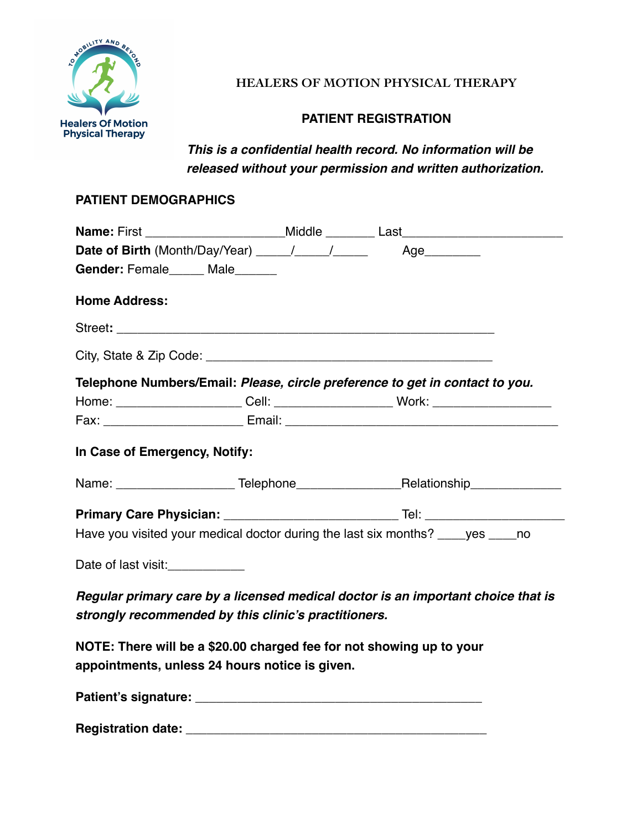

## **HEALERS OF MOTION PHYSICAL THERAPY**

## **PATIENT REGISTRATION**

*This is a confidential health record. No information will be released without your permission and written authorization.* 

### **PATIENT DEMOGRAPHICS**

| Gender: Female______ Male______                                                                                                          |  |                                                                                   |  |  |
|------------------------------------------------------------------------------------------------------------------------------------------|--|-----------------------------------------------------------------------------------|--|--|
| <b>Home Address:</b>                                                                                                                     |  |                                                                                   |  |  |
|                                                                                                                                          |  |                                                                                   |  |  |
|                                                                                                                                          |  |                                                                                   |  |  |
|                                                                                                                                          |  | Telephone Numbers/Email: Please, circle preference to get in contact to you.      |  |  |
|                                                                                                                                          |  | Home: _______________________Cell: _________________________Work: _______________ |  |  |
|                                                                                                                                          |  |                                                                                   |  |  |
| In Case of Emergency, Notify:                                                                                                            |  |                                                                                   |  |  |
|                                                                                                                                          |  |                                                                                   |  |  |
|                                                                                                                                          |  |                                                                                   |  |  |
| Have you visited your medical doctor during the last six months? ____yes _____no                                                         |  |                                                                                   |  |  |
| Date of last visit: ____________                                                                                                         |  |                                                                                   |  |  |
| Regular primary care by a licensed medical doctor is an important choice that is<br>strongly recommended by this clinic's practitioners. |  |                                                                                   |  |  |
| NOTE: There will be a \$20.00 charged fee for not showing up to your                                                                     |  |                                                                                   |  |  |

**appointments, unless 24 hours notice is given.** 

**Patient's signature: \_\_\_\_\_\_\_\_\_\_\_\_\_\_\_\_\_\_\_\_\_\_\_\_\_\_\_\_\_\_\_\_\_\_\_\_\_\_\_\_\_** 

**Registration date: \_\_\_\_\_\_\_\_\_\_\_\_\_\_\_\_\_\_\_\_\_\_\_\_\_\_\_\_\_\_\_\_\_\_\_\_\_\_\_\_\_\_\_**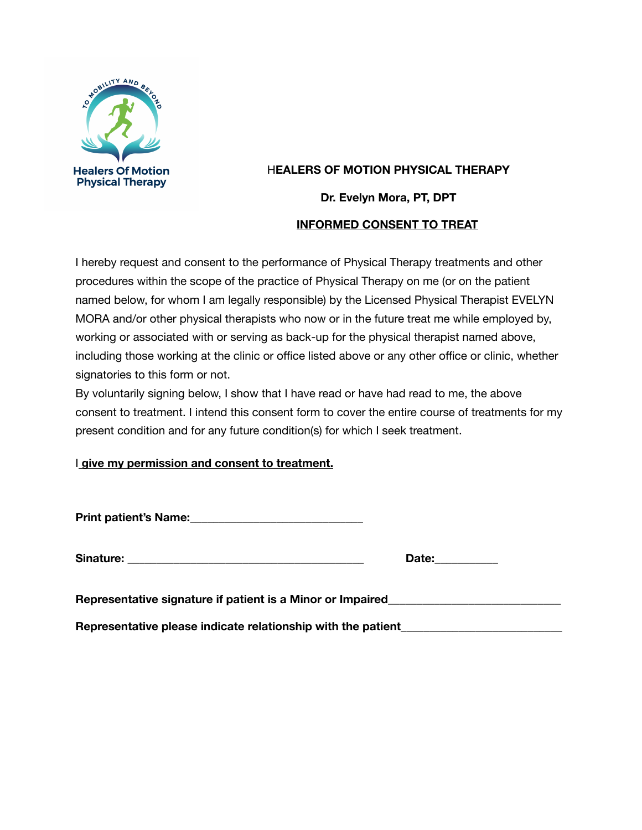

## H**EALERS OF MOTION PHYSICAL THERAPY**

**Dr. Evelyn Mora, PT, DPT** 

#### **INFORMED CONSENT TO TREAT**

I hereby request and consent to the performance of Physical Therapy treatments and other procedures within the scope of the practice of Physical Therapy on me (or on the patient named below, for whom I am legally responsible) by the Licensed Physical Therapist EVELYN MORA and/or other physical therapists who now or in the future treat me while employed by, working or associated with or serving as back-up for the physical therapist named above, including those working at the clinic or office listed above or any other office or clinic, whether signatories to this form or not.

By voluntarily signing below, I show that I have read or have had read to me, the above consent to treatment. I intend this consent form to cover the entire course of treatments for my present condition and for any future condition(s) for which I seek treatment.

### I **give my permission and consent to treatment.**

**Print patient's Name:** 2008. **Print patient's Name:** 2008. **Print patient's Name:** 2008. **Print patient** 

Sinature: **Executive Sinature:** 

| -- |
|----|
|----|

Representative signature if patient is a Minor or Impaired\_\_\_\_\_\_\_\_\_\_\_\_\_\_\_\_\_\_\_\_\_\_\_

Representative please indicate relationship with the patient\_\_\_\_\_\_\_\_\_\_\_\_\_\_\_\_\_\_\_\_\_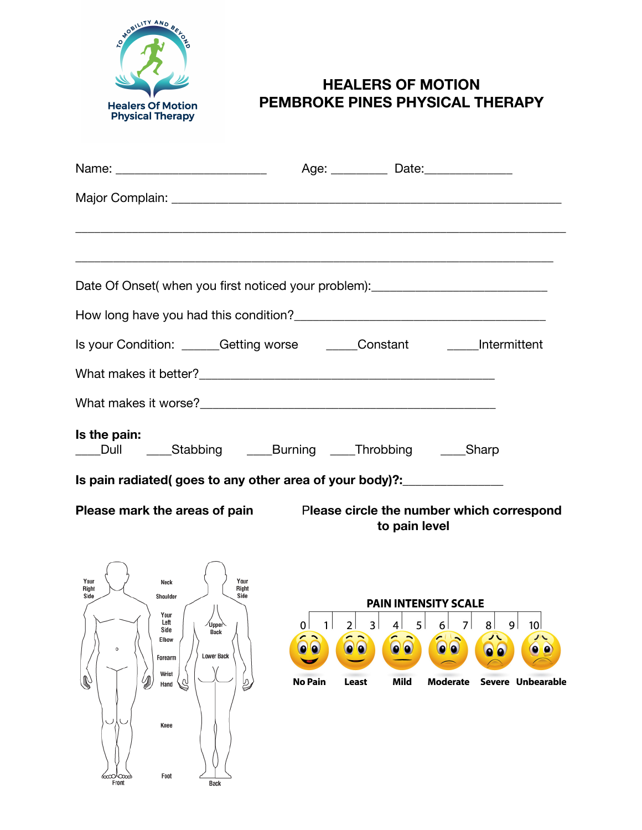

# **HEALERS OF MOTION PEMBROKE PINES PHYSICAL THERAPY**

|                                                                                                                                                                                                                                       |                                                                           | Age: Date: Date:                                                                                                                                                                                                                           |  |
|---------------------------------------------------------------------------------------------------------------------------------------------------------------------------------------------------------------------------------------|---------------------------------------------------------------------------|--------------------------------------------------------------------------------------------------------------------------------------------------------------------------------------------------------------------------------------------|--|
|                                                                                                                                                                                                                                       |                                                                           |                                                                                                                                                                                                                                            |  |
|                                                                                                                                                                                                                                       |                                                                           |                                                                                                                                                                                                                                            |  |
|                                                                                                                                                                                                                                       |                                                                           | ,我们也不会有什么。""我们的人,我们也不会有什么?""我们的人,我们也不会有什么?""我们的人,我们也不会有什么?""我们的人,我们也不会有什么?""我们的人                                                                                                                                                           |  |
| Date Of Onset( when you first noticed your problem):____________________________                                                                                                                                                      |                                                                           |                                                                                                                                                                                                                                            |  |
|                                                                                                                                                                                                                                       |                                                                           |                                                                                                                                                                                                                                            |  |
| Is your Condition: ______Getting worse ______Constant ______Intermittent                                                                                                                                                              |                                                                           |                                                                                                                                                                                                                                            |  |
|                                                                                                                                                                                                                                       |                                                                           |                                                                                                                                                                                                                                            |  |
|                                                                                                                                                                                                                                       |                                                                           |                                                                                                                                                                                                                                            |  |
| Is the pain:<br>____Stabbing _____Burning ____Throbbing _____Sharp<br>Dull                                                                                                                                                            |                                                                           |                                                                                                                                                                                                                                            |  |
| Is pain radiated(goes to any other area of your body)?: ________________                                                                                                                                                              |                                                                           |                                                                                                                                                                                                                                            |  |
| Please mark the areas of pain Please circle the number which correspond                                                                                                                                                               |                                                                           | to pain level                                                                                                                                                                                                                              |  |
| Your<br>Your<br>Neck<br>Right<br>Right<br>Side<br>Side<br>Shoulder<br>Your<br>Left<br>/Upper\<br>Side<br><b>Back</b><br>Elbow<br>o<br><b>Lower Back</b><br>Forearm<br>Wrist<br>Hand<br>Knee<br>Foot<br>‱0∿Cœœ<br>Front<br><b>Back</b> | 2 <br>$\vert$ 1<br>$\overline{0}$<br>00<br>0 Q<br><b>No Pain</b><br>Least | <b>PAIN INTENSITY SCALE</b><br>3   4   5   6   7   8   9<br>10 <sup>1</sup><br>$\bullet$<br>$\left( 0\right) 0\right)$<br>$\bullet$ $\bullet$<br>$\bullet$ <sup><math>\bullet</math></sup><br>Mild<br><b>Moderate</b><br>Severe Unbearable |  |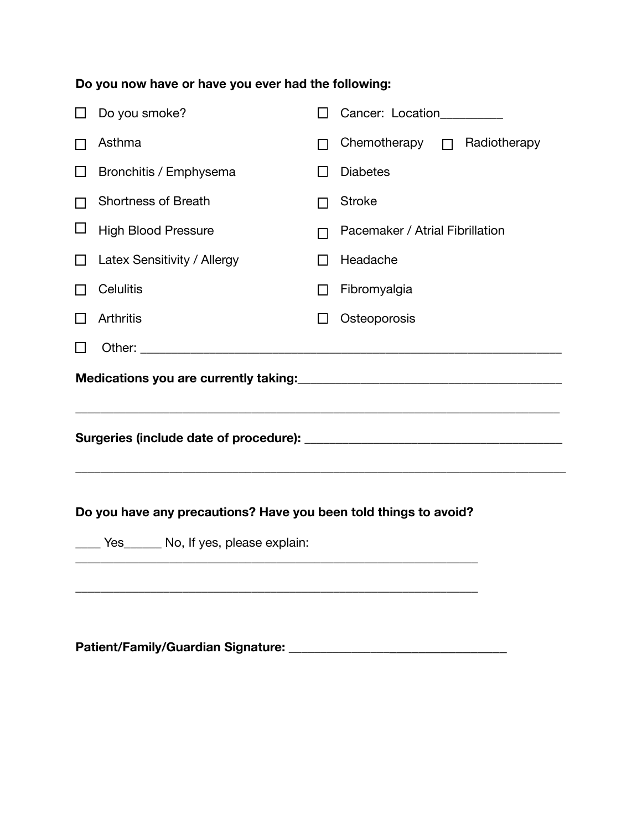# **Do you now have or have you ever had the following:**

| l 1                                                                                                 | Do you smoke?               | $\blacksquare$ | Cancer: Location_________                |  |
|-----------------------------------------------------------------------------------------------------|-----------------------------|----------------|------------------------------------------|--|
|                                                                                                     | Asthma                      | ΙI             | Chemotherapy <sub>[1]</sub> Radiotherapy |  |
| П                                                                                                   | Bronchitis / Emphysema      | ΙI             | <b>Diabetes</b>                          |  |
|                                                                                                     | <b>Shortness of Breath</b>  | ΙI             | <b>Stroke</b>                            |  |
| ⊔                                                                                                   | <b>High Blood Pressure</b>  | П              | Pacemaker / Atrial Fibrillation          |  |
| Ħ                                                                                                   | Latex Sensitivity / Allergy | $\Box$         | Headache                                 |  |
|                                                                                                     | <b>Celulitis</b>            | П              | Fibromyalgia                             |  |
| ΙI                                                                                                  | <b>Arthritis</b>            | $\Box$         | Osteoporosis                             |  |
|                                                                                                     |                             |                |                                          |  |
|                                                                                                     |                             |                |                                          |  |
| Do you have any precautions? Have you been told things to avoid?<br>Yes No, If yes, please explain: |                             |                |                                          |  |
|                                                                                                     |                             |                |                                          |  |

**Patient/Family/Guardian Signature:** \_\_\_\_\_\_\_\_\_\_\_\_\_\_\_\_\_\_\_\_\_\_\_\_\_\_\_\_\_\_\_\_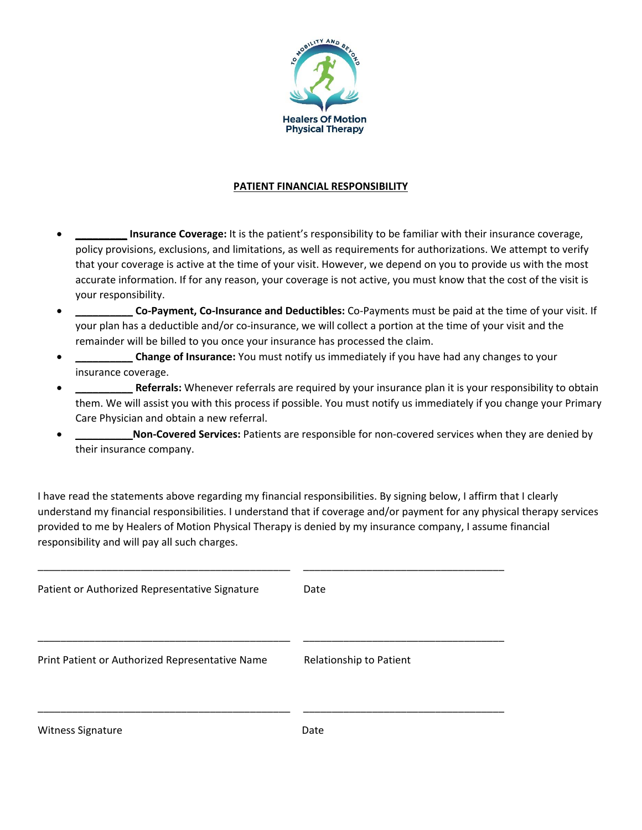

#### **PATIENT FINANCIAL RESPONSIBILITY**

- **\_\_\_\_\_\_\_\_\_ Insurance Coverage:** It is the patient's responsibility to be familiar with their insurance coverage, policy provisions, exclusions, and limitations, as well as requirements for authorizations. We attempt to verify that your coverage is active at the time of your visit. However, we depend on you to provide us with the most accurate information. If for any reason, your coverage is not active, you must know that the cost of the visit is your responsibility.
- **\_\_\_\_\_\_\_\_\_\_ Co‐Payment, Co‐Insurance and Deductibles:** Co‐Payments must be paid at the time of your visit. If your plan has a deductible and/or co-insurance, we will collect a portion at the time of your visit and the remainder will be billed to you once your insurance has processed the claim.
- **\_\_\_\_\_\_\_\_\_\_ Change of Insurance:** You must notify us immediately if you have had any changes to your insurance coverage.
- **\_\_\_\_\_\_\_\_\_\_ Referrals:** Whenever referrals are required by your insurance plan it is your responsibility to obtain them. We will assist you with this process if possible. You must notify us immediately if you change your Primary Care Physician and obtain a new referral.
- **\_\_\_\_\_\_\_\_\_\_Non‐Covered Services:** Patients are responsible for non‐covered services when they are denied by their insurance company.

I have read the statements above regarding my financial responsibilities. By signing below, I affirm that I clearly understand my financial responsibilities. I understand that if coverage and/or payment for any physical therapy services provided to me by Healers of Motion Physical Therapy is denied by my insurance company, I assume financial responsibility and will pay all such charges.

| Patient or Authorized Representative Signature  | Date                    |
|-------------------------------------------------|-------------------------|
| Print Patient or Authorized Representative Name | Relationship to Patient |
| Witness Signature                               | Date                    |